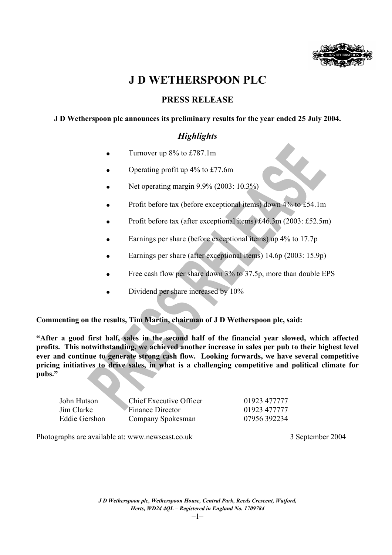

# **J D WETHERSPOON PLC**

# **PRESS RELEASE**

# **J D Wetherspoon plc announces its preliminary results for the year ended 25 July 2004.**

# *Highlights*

- Turnover up 8% to £787.1m
- Operating profit up 4% to £77.6m
- Net operating margin 9.9% (2003: 10.3%)
- Profit before tax (before exceptional items) down 4% to £54.1m
- Profit before tax (after exceptional items) £46.3m (2003: £52.5m)
- Earnings per share (before exceptional items) up 4% to 17.7p
- Earnings per share (after exceptional items) 14.6p (2003: 15.9p)
- Free cash flow per share down 3% to 37.5p, more than double EPS
- Dividend per share increased by 10%

**Commenting on the results, Tim Martin, chairman of J D Wetherspoon plc, said:** 

**"After a good first half, sales in the second half of the financial year slowed, which affected profits. This notwithstanding, we achieved another increase in sales per pub to their highest level ever and continue to generate strong cash flow. Looking forwards, we have several competitive pricing initiatives to drive sales, in what is a challenging competitive and political climate for pubs."** 

| John Hutson   | Chief Executive Officer | 01923 477777 |
|---------------|-------------------------|--------------|
| Jim Clarke    | Finance Director        | 01923 477777 |
| Eddie Gershon | Company Spokesman       | 07956 392234 |

Photographs are available at: www.newscast.co.uk 3 September 2004

*J D Wetherspoon plc, Wetherspoon House, Central Park, Reeds Crescent, Watford, Herts, WD24 4QL – Registered in England No. 1709784*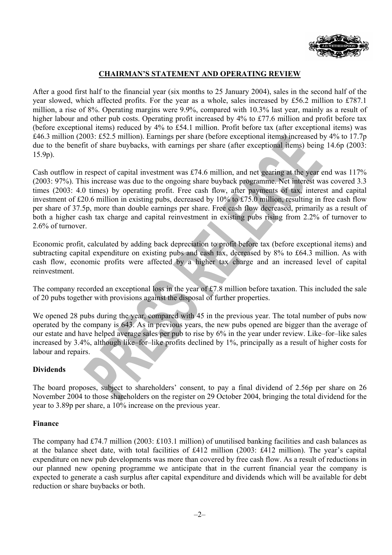

# **CHAIRMAN'S STATEMENT AND OPERATING REVIEW**

After a good first half to the financial year (six months to 25 January 2004), sales in the second half of the year slowed, which affected profits. For the year as a whole, sales increased by £56.2 million to £787.1 million, a rise of 8%. Operating margins were 9.9%, compared with 10.3% last year, mainly as a result of higher labour and other pub costs. Operating profit increased by 4% to £77.6 million and profit before tax (before exceptional items) reduced by 4% to £54.1 million. Profit before tax (after exceptional items) was £46.3 million (2003: £52.5 million). Earnings per share (before exceptional items) increased by 4% to 17.7p due to the benefit of share buybacks, with earnings per share (after exceptional items) being 14.6p (2003: 15.9p).

Cash outflow in respect of capital investment was £74.6 million, and net gearing at the year end was 117% (2003: 97%). This increase was due to the ongoing share buyback programme. Net interest was covered 3.3 times (2003: 4.0 times) by operating profit. Free cash flow, after payments of tax, interest and capital investment of £20.6 million in existing pubs, decreased by 10% to £75.0 million, resulting in free cash flow per share of 37.5p, more than double earnings per share. Free cash flow decreased, primarily as a result of both a higher cash tax charge and capital reinvestment in existing pubs rising from 2.2% of turnover to 2.6% of turnover.

Economic profit, calculated by adding back depreciation to profit before tax (before exceptional items) and subtracting capital expenditure on existing pubs and cash tax, decreased by 8% to £64.3 million. As with cash flow, economic profits were affected by a higher tax charge and an increased level of capital reinvestment.

The company recorded an exceptional loss in the year of £7.8 million before taxation. This included the sale of 20 pubs together with provisions against the disposal of further properties.

We opened 28 pubs during the year, compared with 45 in the previous year. The total number of pubs now operated by the company is 643. As in previous years, the new pubs opened are bigger than the average of our estate and have helped average sales per pub to rise by 6% in the year under review. Like–for–like sales increased by 3.4%, although like–for–like profits declined by 1%, principally as a result of higher costs for labour and repairs.

## **Dividends**

The board proposes, subject to shareholders' consent, to pay a final dividend of 2.56p per share on 26 November 2004 to those shareholders on the register on 29 October 2004, bringing the total dividend for the year to 3.89p per share, a 10% increase on the previous year.

### **Finance**

The company had £74.7 million (2003: £103.1 million) of unutilised banking facilities and cash balances as at the balance sheet date, with total facilities of £412 million (2003: £412 million). The year's capital expenditure on new pub developments was more than covered by free cash flow. As a result of reductions in our planned new opening programme we anticipate that in the current financial year the company is expected to generate a cash surplus after capital expenditure and dividends which will be available for debt reduction or share buybacks or both.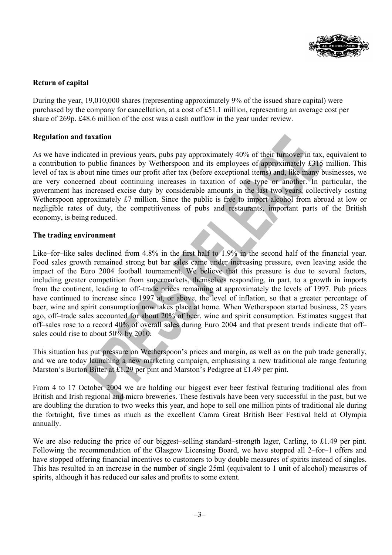

# **Return of capital**

During the year, 19,010,000 shares (representing approximately 9% of the issued share capital) were purchased by the company for cancellation, at a cost of £51.1 million, representing an average cost per share of 269p. £48.6 million of the cost was a cash outflow in the year under review.

## **Regulation and taxation**

As we have indicated in previous years, pubs pay approximately 40% of their turnover in tax, equivalent to a contribution to public finances by Wetherspoon and its employees of approximately £315 million. This level of tax is about nine times our profit after tax (before exceptional items) and, like many businesses, we are very concerned about continuing increases in taxation of one type or another. In particular, the government has increased excise duty by considerable amounts in the last two years, collectively costing Wetherspoon approximately £7 million. Since the public is free to import alcohol from abroad at low or negligible rates of duty, the competitiveness of pubs and restaurants, important parts of the British economy, is being reduced.

### **The trading environment**

Like–for–like sales declined from 4.8% in the first half to 1.9% in the second half of the financial year. Food sales growth remained strong but bar sales came under increasing pressure, even leaving aside the impact of the Euro 2004 football tournament. We believe that this pressure is due to several factors, including greater competition from supermarkets, themselves responding, in part, to a growth in imports from the continent, leading to off–trade prices remaining at approximately the levels of 1997. Pub prices have continued to increase since 1997 at, or above, the level of inflation, so that a greater percentage of beer, wine and spirit consumption now takes place at home. When Wetherspoon started business, 25 years ago, off–trade sales accounted for about 20% of beer, wine and spirit consumption. Estimates suggest that off–sales rose to a record 40% of overall sales during Euro 2004 and that present trends indicate that off– sales could rise to about 50% by 2010.

This situation has put pressure on Wetherspoon's prices and margin, as well as on the pub trade generally, and we are today launching a new marketing campaign, emphasising a new traditional ale range featuring Marston's Burton Bitter at £1.29 per pint and Marston's Pedigree at £1.49 per pint.

From 4 to 17 October 2004 we are holding our biggest ever beer festival featuring traditional ales from British and Irish regional and micro breweries. These festivals have been very successful in the past, but we are doubling the duration to two weeks this year, and hope to sell one million pints of traditional ale during the fortnight, five times as much as the excellent Camra Great British Beer Festival held at Olympia annually.

We are also reducing the price of our biggest–selling standard–strength lager, Carling, to £1.49 per pint. Following the recommendation of the Glasgow Licensing Board, we have stopped all 2–for–1 offers and have stopped offering financial incentives to customers to buy double measures of spirits instead of singles. This has resulted in an increase in the number of single 25ml (equivalent to 1 unit of alcohol) measures of spirits, although it has reduced our sales and profits to some extent.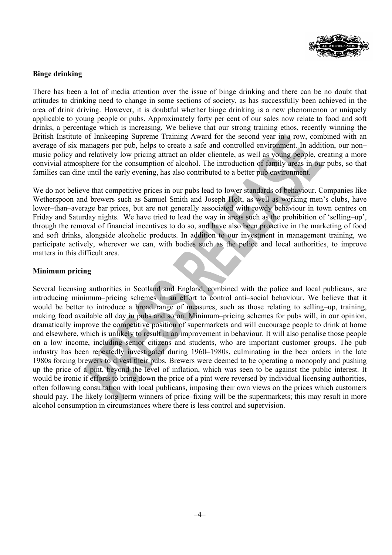

# **Binge drinking**

There has been a lot of media attention over the issue of binge drinking and there can be no doubt that attitudes to drinking need to change in some sections of society, as has successfully been achieved in the area of drink driving. However, it is doubtful whether binge drinking is a new phenomenon or uniquely applicable to young people or pubs. Approximately forty per cent of our sales now relate to food and soft drinks, a percentage which is increasing. We believe that our strong training ethos, recently winning the British Institute of Innkeeping Supreme Training Award for the second year in a row, combined with an average of six managers per pub, helps to create a safe and controlled environment. In addition, our non– music policy and relatively low pricing attract an older clientele, as well as young people, creating a more convivial atmosphere for the consumption of alcohol. The introduction of family areas in our pubs, so that families can dine until the early evening, has also contributed to a better pub environment.

We do not believe that competitive prices in our pubs lead to lower standards of behaviour. Companies like Wetherspoon and brewers such as Samuel Smith and Joseph Holt, as well as working men's clubs, have lower–than–average bar prices, but are not generally associated with rowdy behaviour in town centres on Friday and Saturday nights. We have tried to lead the way in areas such as the prohibition of 'selling–up', through the removal of financial incentives to do so, and have also been proactive in the marketing of food and soft drinks, alongside alcoholic products. In addition to our investment in management training, we participate actively, wherever we can, with bodies such as the police and local authorities, to improve matters in this difficult area.

## **Minimum pricing**

Several licensing authorities in Scotland and England, combined with the police and local publicans, are introducing minimum–pricing schemes in an effort to control anti–social behaviour. We believe that it would be better to introduce a broad range of measures, such as those relating to selling–up, training, making food available all day in pubs and so on. Minimum–pricing schemes for pubs will, in our opinion, dramatically improve the competitive position of supermarkets and will encourage people to drink at home and elsewhere, which is unlikely to result in an improvement in behaviour. It will also penalise those people on a low income, including senior citizens and students, who are important customer groups. The pub industry has been repeatedly investigated during 1960–1980s, culminating in the beer orders in the late 1980s forcing brewers to divest their pubs. Brewers were deemed to be operating a monopoly and pushing up the price of a pint, beyond the level of inflation, which was seen to be against the public interest. It would be ironic if efforts to bring down the price of a pint were reversed by individual licensing authorities, often following consultation with local publicans, imposing their own views on the prices which customers should pay. The likely long–term winners of price–fixing will be the supermarkets; this may result in more alcohol consumption in circumstances where there is less control and supervision.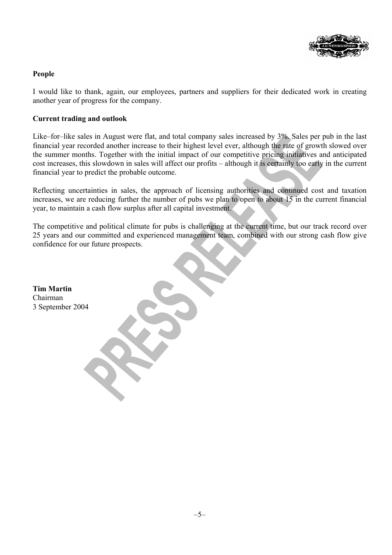

# **People**

I would like to thank, again, our employees, partners and suppliers for their dedicated work in creating another year of progress for the company.

## **Current trading and outlook**

Like–for–like sales in August were flat, and total company sales increased by 3%. Sales per pub in the last financial year recorded another increase to their highest level ever, although the rate of growth slowed over the summer months. Together with the initial impact of our competitive pricing initiatives and anticipated cost increases, this slowdown in sales will affect our profits – although it is certainly too early in the current financial year to predict the probable outcome.

Reflecting uncertainties in sales, the approach of licensing authorities and continued cost and taxation increases, we are reducing further the number of pubs we plan to open to about 15 in the current financial year, to maintain a cash flow surplus after all capital investment.

The competitive and political climate for pubs is challenging at the current time, but our track record over 25 years and our committed and experienced management team, combined with our strong cash flow give confidence for our future prospects.

**Tim Martin**  Chairman 3 September 2004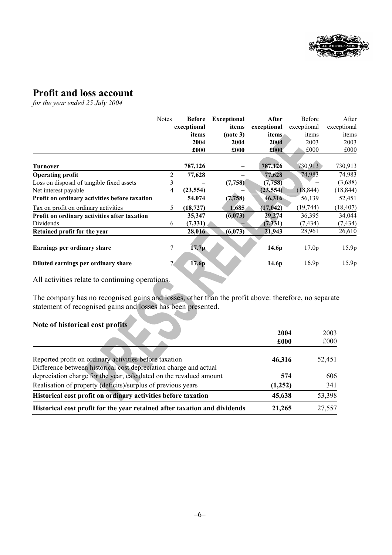

# **Profit and loss account**

*for the year ended 25 July 2004* 

|                                               | <b>Notes</b>   | <b>Before</b><br>exceptional<br>items<br>2004<br>£000 | <b>Exceptional</b><br>items<br>(note 3)<br>2004<br>£000 | After<br>exceptional<br><i>items</i><br>2004<br>£000 | <b>Before</b><br>exceptional<br>items<br>2003<br>£000 | After<br>exceptional<br>items<br>2003<br>£000 |
|-----------------------------------------------|----------------|-------------------------------------------------------|---------------------------------------------------------|------------------------------------------------------|-------------------------------------------------------|-----------------------------------------------|
| <b>Turnover</b>                               |                | 787,126                                               |                                                         | 787,126                                              | 730,913                                               | 730,913                                       |
| <b>Operating profit</b>                       | 2              | 77,628                                                |                                                         | 77,628                                               | 74,983                                                | 74,983                                        |
| Loss on disposal of tangible fixed assets     | 3              |                                                       | (7,758)                                                 | (7,758)                                              |                                                       | (3,688)                                       |
| Net interest payable                          | 4              | (23, 554)                                             |                                                         | (23, 554)                                            | (18, 844)                                             | (18, 844)                                     |
| Profit on ordinary activities before taxation |                | 54,074                                                | (7, 758)                                                | 46,316                                               | 56,139                                                | 52,451                                        |
| Tax on profit on ordinary activities          | 5.             | (18, 727)                                             | 1,685                                                   | (17, 042)                                            | (19, 744)                                             | (18, 407)                                     |
| Profit on ordinary activities after taxation  |                | 35,347                                                | (6,073)                                                 | 29,274                                               | 36,395                                                | 34,044                                        |
| Dividends                                     | 6              | (7, 331)                                              |                                                         | (7, 331)                                             | (7, 434)                                              | (7, 434)                                      |
| Retained profit for the year                  |                | 28,016                                                | (6,073)                                                 | 21,943                                               | 28,961                                                | 26,610                                        |
| Earnings per ordinary share                   | 7              | 17.7p                                                 |                                                         | 14.6p                                                | 17.0 <sub>p</sub>                                     | 15.9p                                         |
| Diluted earnings per ordinary share           | 7 <sup>7</sup> | 17.6p                                                 |                                                         | 14.6 <sub>p</sub>                                    | 16.9 <sub>p</sub>                                     | 15.9p                                         |

All activities relate to continuing operations.

The company has no recognised gains and losses, other than the profit above: therefore, no separate statement of recognised gains and losses has been presented.

# **Note of historical cost profits**

|                                                                                                                             | 2004<br>£000 | 2003<br>£000 |
|-----------------------------------------------------------------------------------------------------------------------------|--------------|--------------|
|                                                                                                                             |              |              |
| Reported profit on ordinary activities before taxation<br>Difference between historical cost depreciation charge and actual | 46,316       | 52,451       |
| depreciation charge for the year, calculated on the revalued amount                                                         | 574          | 606          |
| Realisation of property (deficits)/surplus of previous years                                                                | (1,252)      | 341          |
| Historical cost profit on ordinary activities before taxation                                                               | 45,638       | 53,398       |
| Historical cost profit for the year retained after taxation and dividends                                                   | 21,265       | 27,557       |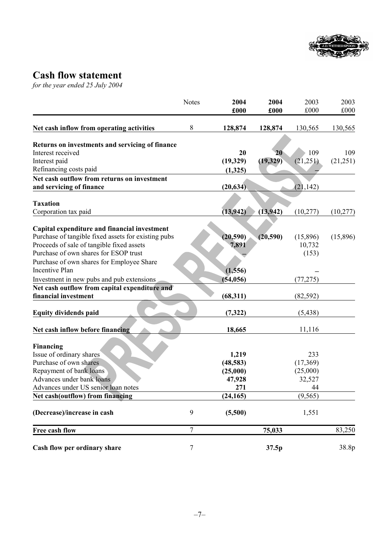

# **Cash flow statement**

*for the year ended 25 July 2004* 

|                                                                                    | <b>Notes</b>     | 2004      | 2004      | 2003      | 2003      |
|------------------------------------------------------------------------------------|------------------|-----------|-----------|-----------|-----------|
|                                                                                    |                  | £000      | £000      | £000      | £000      |
| Net cash inflow from operating activities                                          | 8                | 128,874   | 128,874   | 130,565   | 130,565   |
| Returns on investments and servicing of finance                                    |                  |           |           |           |           |
| Interest received                                                                  |                  | 20        | 20        | 109       | 109       |
| Interest paid                                                                      |                  | (19, 329) | (19, 329) | (21,251)  | (21, 251) |
| Refinancing costs paid                                                             |                  | (1,325)   |           |           |           |
| Net cash outflow from returns on investment                                        |                  |           |           |           |           |
| and servicing of finance                                                           |                  | (20, 634) |           | (21, 142) |           |
|                                                                                    |                  |           |           |           |           |
| <b>Taxation</b>                                                                    |                  |           |           |           |           |
| Corporation tax paid                                                               |                  | (13, 942) | (13, 942) | (10, 277) | (10,277)  |
|                                                                                    |                  |           |           |           |           |
| Capital expenditure and financial investment                                       |                  |           |           |           |           |
| Purchase of tangible fixed assets for existing pubs                                |                  | (20, 590) | (20, 590) | (15,896)  | (15,896)  |
| Proceeds of sale of tangible fixed assets<br>Purchase of own shares for ESOP trust |                  | 7,891     |           | 10,732    |           |
|                                                                                    |                  |           |           | (153)     |           |
| Purchase of own shares for Employee Share<br>Incentive Plan                        |                  |           |           |           |           |
|                                                                                    |                  | (1,556)   |           |           |           |
| Investment in new pubs and pub extensions                                          |                  | (54, 056) |           | (77, 275) |           |
| Net cash outflow from capital expenditure and<br>financial investment              |                  | (68,311)  |           | (82, 592) |           |
|                                                                                    |                  |           |           |           |           |
| <b>Equity dividends paid</b>                                                       |                  | (7, 322)  |           | (5, 438)  |           |
| Net cash inflow before financing                                                   |                  | 18,665    |           | 11,116    |           |
| Financing                                                                          |                  |           |           |           |           |
| Issue of ordinary shares                                                           |                  | 1,219     |           | 233       |           |
| Purchase of own shares                                                             |                  | (48, 583) |           | (17,369)  |           |
| Repayment of bank loans                                                            |                  | (25,000)  |           | (25,000)  |           |
| Advances under bank loans                                                          |                  | 47,928    |           | 32,527    |           |
| Advances under US senior loan notes                                                |                  | 271       |           | 44        |           |
| Net cash(outflow) from financing                                                   |                  | (24, 165) |           | (9, 565)  |           |
| (Decrease)/increase in cash                                                        | 9                | (5,500)   |           | 1,551     |           |
| Free cash flow                                                                     | $\boldsymbol{7}$ |           | 75,033    |           | 83,250    |
| Cash flow per ordinary share                                                       | $\tau$           |           | 37.5p     |           | 38.8p     |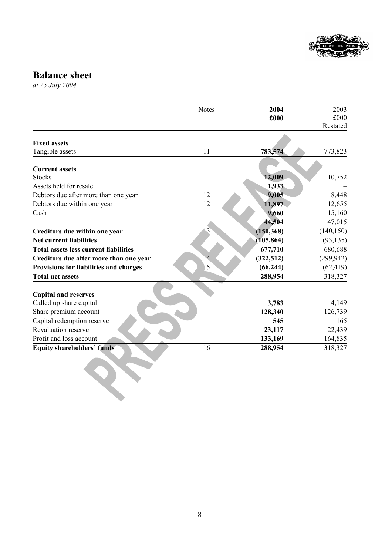

# **Balance sheet**

*at 25 July 2004*

|                                              | <b>Notes</b> | 2004<br>£000 | 2003<br>£000<br>Restated |
|----------------------------------------------|--------------|--------------|--------------------------|
| <b>Fixed assets</b>                          |              |              |                          |
| Tangible assets                              | 11           | 783,574      | 773,823                  |
|                                              |              |              |                          |
| <b>Current assets</b>                        |              |              |                          |
| <b>Stocks</b>                                |              | 12,009       | 10,752                   |
| Assets held for resale                       |              | 1,933        |                          |
| Debtors due after more than one year         | 12           | 9,005        | 8,448                    |
| Debtors due within one year                  | 12           | 11,897       | 12,655                   |
| Cash                                         |              | 9,660        | 15,160                   |
|                                              |              | 44,504       | 47,015                   |
| Creditors due within one year                | 13           | (150, 368)   | (140, 150)               |
| <b>Net current liabilities</b>               |              | (105, 864)   | (93, 135)                |
| <b>Total assets less current liabilities</b> |              | 677,710      | 680,688                  |
| Creditors due after more than one year       | 14           | (322, 512)   | (299, 942)               |
| Provisions for liabilities and charges       | 15           | (66, 244)    | (62, 419)                |
| <b>Total net assets</b>                      |              | 288,954      | 318,327                  |
| <b>Capital and reserves</b>                  |              |              |                          |
| Called up share capital                      |              | 3,783        | 4,149                    |
| Share premium account                        |              | 128,340      | 126,739                  |
| Capital redemption reserve                   |              | 545          | 165                      |
| <b>Revaluation reserve</b>                   |              | 23,117       | 22,439                   |
| Profit and loss account                      |              | 133,169      | 164,835                  |
| <b>Equity shareholders' funds</b>            | 16           | 288,954      | 318,327                  |
|                                              |              |              |                          |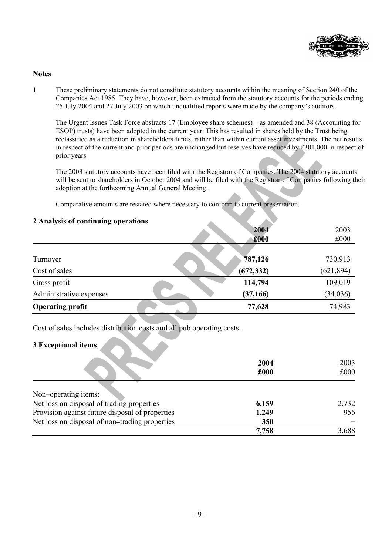

### **Notes**

**1** These preliminary statements do not constitute statutory accounts within the meaning of Section 240 of the Companies Act 1985. They have, however, been extracted from the statutory accounts for the periods ending 25 July 2004 and 27 July 2003 on which unqualified reports were made by the company's auditors.

 The Urgent Issues Task Force abstracts 17 (Employee share schemes) – as amended and 38 (Accounting for ESOP) trusts) have been adopted in the current year. This has resulted in shares held by the Trust being reclassified as a reduction in shareholders funds, rather than within current asset investments. The net results in respect of the current and prior periods are unchanged but reserves have reduced by £301,000 in respect of prior years.

The 2003 statutory accounts have been filed with the Registrar of Companies. The 2004 statutory accounts will be sent to shareholders in October 2004 and will be filed with the Registrar of Companies following their adoption at the forthcoming Annual General Meeting.

Comparative amounts are restated where necessary to conform to current presentation.

| $\mu$ is that $\lambda$ six of continuing operations |            |            |
|------------------------------------------------------|------------|------------|
|                                                      | 2004       | 2003       |
|                                                      | £000       | £000       |
|                                                      |            |            |
| Turnover                                             | 787,126    | 730,913    |
| Cost of sales                                        | (672, 332) | (621, 894) |
| Gross profit                                         | 114,794    | 109,019    |
| Administrative expenses                              | (37, 166)  | (34, 036)  |
| <b>Operating profit</b>                              | 77,628     | 74,983     |

**2 Analysis of continuing operations** 

Cost of sales includes distribution costs and all pub operating costs.

# **3 Exceptional items**

|                                                 | 2004<br>£000 | 2003<br>£000 |
|-------------------------------------------------|--------------|--------------|
|                                                 |              |              |
| Non-operating items:                            |              |              |
| Net loss on disposal of trading properties      | 6,159        | 2,732        |
| Provision against future disposal of properties | 1,249        | 956          |
| Net loss on disposal of non-trading properties  | 350          |              |
|                                                 | 7,758        | 3,688        |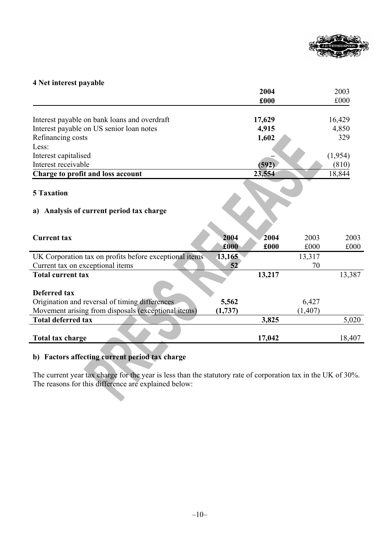

# **4 Net interest payable**

|                                                        |         | 2004   |          | 2003    |
|--------------------------------------------------------|---------|--------|----------|---------|
|                                                        |         | £000   |          | £000    |
| Interest payable on bank loans and overdraft           |         | 17,629 |          | 16,429  |
| Interest payable on US senior loan notes               |         | 4,915  |          | 4,850   |
| Refinancing costs                                      |         | 1,602  |          | 329     |
| Less:                                                  |         |        |          |         |
| Interest capitalised                                   |         |        |          | (1,954) |
| Interest receivable                                    |         | (592)  |          | (810)   |
| Charge to profit and loss account                      |         | 23,554 |          | 18,844  |
| <b>5 Taxation</b>                                      |         |        |          |         |
| Analysis of current period tax charge<br>a)            |         |        |          |         |
|                                                        |         |        |          |         |
| <b>Current tax</b>                                     | 2004    | 2004   | 2003     | 2003    |
|                                                        | £000    | £000   | £000     | £000    |
| UK Corporation tax on profits before exceptional items | 13,165  |        | 13,317   |         |
| Current tax on exceptional items                       | 52      |        | 70       |         |
| <b>Total current tax</b>                               |         | 13,217 |          | 13,387  |
|                                                        |         |        |          |         |
| Deferred tax                                           |         |        |          |         |
| Origination and reversal of timing differences         | 5,562   |        | 6,427    |         |
| Movement arising from disposals (exceptional items)    | (1,737) |        | (1, 407) |         |
| <b>Total deferred tax</b>                              |         | 3,825  |          | 5,020   |
|                                                        |         |        |          |         |
| <b>Total tax charge</b>                                |         | 17,042 |          | 18,407  |

# **b) Factors affecting current period tax charge**

The current year tax charge for the year is less than the statutory rate of corporation tax in the UK of 30%. The reasons for this difference are explained below: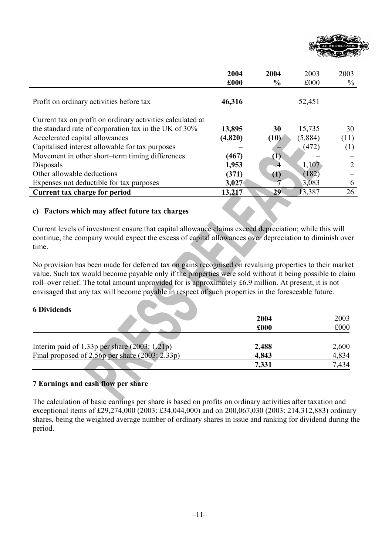

|                                                            | 2004    | 2004             | 2003    | 2003 |
|------------------------------------------------------------|---------|------------------|---------|------|
|                                                            | £000    | $\frac{6}{9}$    | £000    | $\%$ |
|                                                            |         |                  |         |      |
| Profit on ordinary activities before tax                   | 46,316  |                  | 52,451  |      |
|                                                            |         |                  |         |      |
| Current tax on profit on ordinary activities calculated at |         |                  |         |      |
| the standard rate of corporation tax in the UK of 30%      | 13,895  | 30               | 15,735  | 30   |
| Accelerated capital allowances                             | (4,820) | (10)             | (5,884) | (11) |
| Capitalised interest allowable for tax purposes            |         |                  | (472)   | (1)  |
| Movement in other short-term timing differences            | (467)   | (1)              |         |      |
| Disposals                                                  | 1,953   | 4                | 1,107   |      |
| Other allowable deductions                                 | (371)   | $\left(1\right)$ | (182)   |      |
| Expenses not deductible for tax purposes                   | 3,027   |                  | 3,083   | 6    |
| Current tax charge for period                              | 13,217  | 29               | 13,387  | 26   |

## **c) Factors which may affect future tax charges**

Current levels of investment ensure that capital allowance claims exceed depreciation; while this will continue, the company would expect the excess of capital allowances over depreciation to diminish over time.

No provision has been made for deferred tax on gains recognised on revaluing properties to their market value. Such tax would become payable only if the properties were sold without it being possible to claim roll–over relief. The total amount unprovided for is approximately £6.9 million. At present, it is not envisaged that any tax will become payable in respect of such properties in the foreseeable future.

### **6 Dividends**

|                                                   | 2004  | 2003  |
|---------------------------------------------------|-------|-------|
|                                                   | £000  | £000  |
|                                                   |       |       |
| Interim paid of 1.33p per share $(2003: 1.21p)$   | 2,488 | 2,600 |
| Final proposed of 2.56p per share $(2003: 2.33p)$ | 4,843 | 4,834 |
|                                                   | 7,331 | 7.434 |

## **7 Earnings and cash flow per share**

The calculation of basic earnings per share is based on profits on ordinary activities after taxation and exceptional items of £29,274,000 (2003: £34,044,000) and on 200,067,030 (2003: 214,312,883) ordinary shares, being the weighted average number of ordinary shares in issue and ranking for dividend during the period.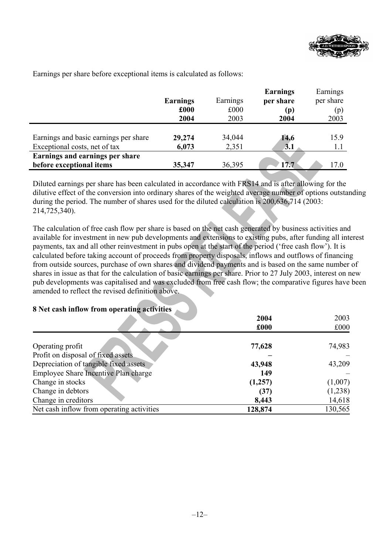

|                                       |                 |          | <b>Earnings</b> | Earnings  |
|---------------------------------------|-----------------|----------|-----------------|-----------|
|                                       | <b>Earnings</b> | Earnings | per share       | per share |
|                                       | £000            | £000     | (p)             | (p)       |
|                                       | 2004            | 2003     | 2004            | 2003      |
|                                       |                 |          |                 |           |
| Earnings and basic earnings per share | 29,274          | 34,044   | 14.6            | 15.9      |
| Exceptional costs, net of tax         | 6,073           | 2,351    | 3.1             | 1.1       |
| Earnings and earnings per share       |                 |          |                 |           |
| before exceptional items              | 35,347          | 36,395   | 17.7            | 17.0      |

Earnings per share before exceptional items is calculated as follows:

Diluted earnings per share has been calculated in accordance with FRS14 and is after allowing for the dilutive effect of the conversion into ordinary shares of the weighted average number of options outstanding during the period. The number of shares used for the diluted calculation is 200,636,714 (2003: 214,725,340).

The calculation of free cash flow per share is based on the net cash generated by business activities and available for investment in new pub developments and extensions to existing pubs, after funding all interest payments, tax and all other reinvestment in pubs open at the start of the period ('free cash flow'). It is calculated before taking account of proceeds from property disposals, inflows and outflows of financing from outside sources, purchase of own shares and dividend payments and is based on the same number of shares in issue as that for the calculation of basic earnings per share. Prior to 27 July 2003, interest on new pub developments was capitalised and was excluded from free cash flow; the comparative figures have been amended to reflect the revised definition above.

## **8 Net cash inflow from operating activities**

|                                           | 2004    | 2003    |
|-------------------------------------------|---------|---------|
|                                           | £000    | £000    |
|                                           |         |         |
| Operating profit                          | 77,628  | 74,983  |
| Profit on disposal of fixed assets        |         |         |
| Depreciation of tangible fixed assets     | 43,948  | 43,209  |
| Employee Share Incentive Plan charge      | 149     |         |
| Change in stocks                          | (1,257) | (1,007) |
| Change in debtors                         | (37)    | (1,238) |
| Change in creditors                       | 8,443   | 14,618  |
| Net cash inflow from operating activities | 128,874 | 130,565 |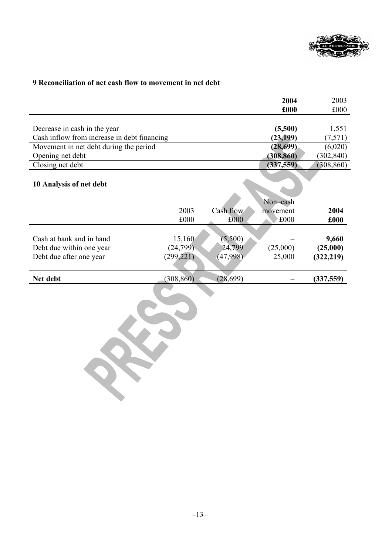

# **9 Reconciliation of net cash flow to movement in net debt**

|                                             |            |           | 2004<br>£000         | 2003<br>£000 |
|---------------------------------------------|------------|-----------|----------------------|--------------|
|                                             |            |           |                      |              |
| Decrease in cash in the year                |            |           | (5,500)              | 1,551        |
| Cash inflow from increase in debt financing |            |           | (23, 199)            | (7,571)      |
| Movement in net debt during the period      |            |           | (28, 699)            | (6,020)      |
| Opening net debt                            |            |           | (308, 860)           | (302, 840)   |
| Closing net debt                            |            |           | (337, 559)           | (308, 860)   |
| 10 Analysis of net debt                     |            |           |                      |              |
|                                             | 2003       | Cash flow | Non-cash<br>movement | 2004         |
|                                             | £000       | £000      | £000                 | £000         |
|                                             |            |           |                      |              |
| Cash at bank and in hand                    | 15,160     | (5,500)   |                      | 9,660        |
| Debt due within one year                    | (24, 799)  | 24,799    | (25,000)             | (25,000)     |
| Debt due after one year                     | (299, 221) | (47,998)  | 25,000               | (322, 219)   |
| Net debt                                    | (308, 860) | (28, 699) |                      | (337, 559)   |
|                                             |            |           |                      |              |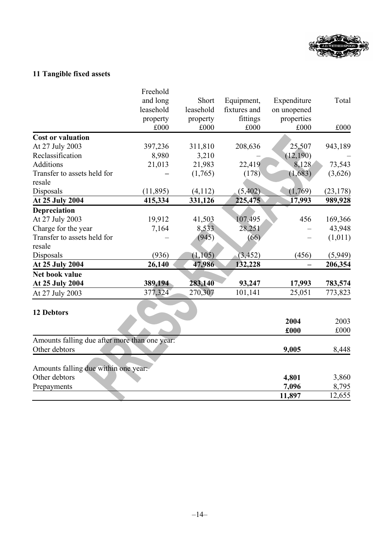

# **11 Tangible fixed assets**

|                                               | Freehold  |           |              |             |           |
|-----------------------------------------------|-----------|-----------|--------------|-------------|-----------|
|                                               | and long  | Short     | Equipment,   | Expenditure | Total     |
|                                               | leasehold | leasehold | fixtures and | on unopened |           |
|                                               | property  | property  | fittings     | properties  |           |
|                                               | £000      | £000      | £000         | £000        | £000      |
| <b>Cost or valuation</b>                      |           |           |              |             |           |
| At 27 July 2003                               | 397,236   | 311,810   | 208,636      | 25,507      | 943,189   |
| Reclassification                              | 8,980     | 3,210     |              | (12, 190)   |           |
| <b>Additions</b>                              | 21,013    | 21,983    | 22,419       | 8,128       | 73,543    |
| Transfer to assets held for                   |           | (1,765)   | (178)        | (1,683)     | (3,626)   |
| resale                                        |           |           |              |             |           |
| Disposals                                     | (11, 895) | (4,112)   | (5,402)      | (1,769)     | (23, 178) |
| At 25 July 2004                               | 415,334   | 331,126   | 225,475      | 17,993      | 989,928   |
| Depreciation                                  |           |           |              |             |           |
| At 27 July 2003                               | 19,912    | 41,503    | 107,495      | 456         | 169,366   |
| Charge for the year                           | 7,164     | 8,533     | 28,251       |             | 43,948    |
| Transfer to assets held for                   |           | (945)     | (66)         |             | (1,011)   |
| resale                                        |           |           |              |             |           |
| Disposals                                     | (936)     | (1, 105)  | (3, 452)     | (456)       | (5,949)   |
| At 25 July 2004                               | 26,140    | 47,986    | 132,228      |             | 206,354   |
| Net book value                                |           |           |              |             |           |
| At 25 July 2004                               | 389,194   | 283,140   | 93,247       | 17,993      | 783,574   |
| At 27 July 2003                               | 377,324   | 270,307   | 101,141      | 25,051      | 773,823   |
|                                               |           |           |              |             |           |
| 12 Debtors                                    |           |           |              |             |           |
|                                               |           |           |              | 2004        | 2003      |
|                                               |           |           |              | £000        | £000      |
| Amounts falling due after more than one year: |           |           |              |             |           |
| Other debtors                                 |           |           |              | 9,005       | 8,448     |
|                                               |           |           |              |             |           |
| Amounts falling due within one year:          |           |           |              |             |           |
| Other debtors                                 |           |           |              | 4,801       | 3,860     |
| Prepayments                                   |           |           |              | 7,096       | 8,795     |
|                                               |           |           |              | 11,897      | 12,655    |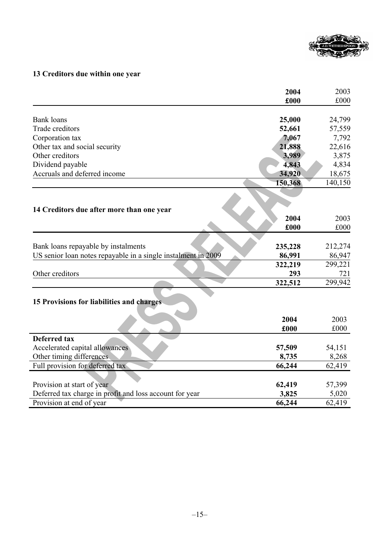

# **13 Creditors due within one year**

| £000<br><b>Bank</b> loans<br>25,000<br>24,799<br>Trade creditors<br>52,661<br>57,559<br>7,792<br>Corporation tax<br>7,067<br>Other tax and social security<br>21,888<br>22,616<br>Other creditors<br>3,989<br>3,875<br>Dividend payable<br>4,843<br>4,834<br>Accruals and deferred income<br>34,920<br>18,675<br>150,368<br>140,150<br>14 Creditors due after more than one year<br>2004<br>2003<br>£000<br>Bank loans repayable by instalments<br>212,274<br>235,228<br>US senior loan notes repayable in a single instalment in 2009<br>86,947<br>86,991<br>322,219<br>299,221<br>Other creditors<br>293<br>721<br>299,942<br>322,512<br>15 Provisions for liabilities and charges<br>2004<br>2003<br>£000<br>£000<br><b>Deferred tax</b><br>Accelerated capital allowances<br>57,509<br>54,151<br>Other timing differences<br>8,268<br>8,735<br>Full provision for deferred tax<br>66,244<br>62,419<br>Provision at start of year<br>62,419<br>57,399<br>Deferred tax charge in profit and loss account for year<br>3,825<br>5,020<br>Provision at end of year<br>66,244<br>62,419 | 2004 | 2003 |
|---------------------------------------------------------------------------------------------------------------------------------------------------------------------------------------------------------------------------------------------------------------------------------------------------------------------------------------------------------------------------------------------------------------------------------------------------------------------------------------------------------------------------------------------------------------------------------------------------------------------------------------------------------------------------------------------------------------------------------------------------------------------------------------------------------------------------------------------------------------------------------------------------------------------------------------------------------------------------------------------------------------------------------------------------------------------------------------|------|------|
|                                                                                                                                                                                                                                                                                                                                                                                                                                                                                                                                                                                                                                                                                                                                                                                                                                                                                                                                                                                                                                                                                       |      | £000 |
|                                                                                                                                                                                                                                                                                                                                                                                                                                                                                                                                                                                                                                                                                                                                                                                                                                                                                                                                                                                                                                                                                       |      |      |
|                                                                                                                                                                                                                                                                                                                                                                                                                                                                                                                                                                                                                                                                                                                                                                                                                                                                                                                                                                                                                                                                                       |      |      |
|                                                                                                                                                                                                                                                                                                                                                                                                                                                                                                                                                                                                                                                                                                                                                                                                                                                                                                                                                                                                                                                                                       |      |      |
|                                                                                                                                                                                                                                                                                                                                                                                                                                                                                                                                                                                                                                                                                                                                                                                                                                                                                                                                                                                                                                                                                       |      |      |
|                                                                                                                                                                                                                                                                                                                                                                                                                                                                                                                                                                                                                                                                                                                                                                                                                                                                                                                                                                                                                                                                                       |      |      |
|                                                                                                                                                                                                                                                                                                                                                                                                                                                                                                                                                                                                                                                                                                                                                                                                                                                                                                                                                                                                                                                                                       |      |      |
|                                                                                                                                                                                                                                                                                                                                                                                                                                                                                                                                                                                                                                                                                                                                                                                                                                                                                                                                                                                                                                                                                       |      |      |
|                                                                                                                                                                                                                                                                                                                                                                                                                                                                                                                                                                                                                                                                                                                                                                                                                                                                                                                                                                                                                                                                                       |      |      |
|                                                                                                                                                                                                                                                                                                                                                                                                                                                                                                                                                                                                                                                                                                                                                                                                                                                                                                                                                                                                                                                                                       |      |      |
|                                                                                                                                                                                                                                                                                                                                                                                                                                                                                                                                                                                                                                                                                                                                                                                                                                                                                                                                                                                                                                                                                       |      |      |
|                                                                                                                                                                                                                                                                                                                                                                                                                                                                                                                                                                                                                                                                                                                                                                                                                                                                                                                                                                                                                                                                                       |      |      |
|                                                                                                                                                                                                                                                                                                                                                                                                                                                                                                                                                                                                                                                                                                                                                                                                                                                                                                                                                                                                                                                                                       |      |      |
|                                                                                                                                                                                                                                                                                                                                                                                                                                                                                                                                                                                                                                                                                                                                                                                                                                                                                                                                                                                                                                                                                       |      | £000 |
|                                                                                                                                                                                                                                                                                                                                                                                                                                                                                                                                                                                                                                                                                                                                                                                                                                                                                                                                                                                                                                                                                       |      |      |
|                                                                                                                                                                                                                                                                                                                                                                                                                                                                                                                                                                                                                                                                                                                                                                                                                                                                                                                                                                                                                                                                                       |      |      |
|                                                                                                                                                                                                                                                                                                                                                                                                                                                                                                                                                                                                                                                                                                                                                                                                                                                                                                                                                                                                                                                                                       |      |      |
|                                                                                                                                                                                                                                                                                                                                                                                                                                                                                                                                                                                                                                                                                                                                                                                                                                                                                                                                                                                                                                                                                       |      |      |
|                                                                                                                                                                                                                                                                                                                                                                                                                                                                                                                                                                                                                                                                                                                                                                                                                                                                                                                                                                                                                                                                                       |      |      |
|                                                                                                                                                                                                                                                                                                                                                                                                                                                                                                                                                                                                                                                                                                                                                                                                                                                                                                                                                                                                                                                                                       |      |      |
|                                                                                                                                                                                                                                                                                                                                                                                                                                                                                                                                                                                                                                                                                                                                                                                                                                                                                                                                                                                                                                                                                       |      |      |
|                                                                                                                                                                                                                                                                                                                                                                                                                                                                                                                                                                                                                                                                                                                                                                                                                                                                                                                                                                                                                                                                                       |      |      |
|                                                                                                                                                                                                                                                                                                                                                                                                                                                                                                                                                                                                                                                                                                                                                                                                                                                                                                                                                                                                                                                                                       |      |      |
|                                                                                                                                                                                                                                                                                                                                                                                                                                                                                                                                                                                                                                                                                                                                                                                                                                                                                                                                                                                                                                                                                       |      |      |
|                                                                                                                                                                                                                                                                                                                                                                                                                                                                                                                                                                                                                                                                                                                                                                                                                                                                                                                                                                                                                                                                                       |      |      |
|                                                                                                                                                                                                                                                                                                                                                                                                                                                                                                                                                                                                                                                                                                                                                                                                                                                                                                                                                                                                                                                                                       |      |      |
|                                                                                                                                                                                                                                                                                                                                                                                                                                                                                                                                                                                                                                                                                                                                                                                                                                                                                                                                                                                                                                                                                       |      |      |
|                                                                                                                                                                                                                                                                                                                                                                                                                                                                                                                                                                                                                                                                                                                                                                                                                                                                                                                                                                                                                                                                                       |      |      |
|                                                                                                                                                                                                                                                                                                                                                                                                                                                                                                                                                                                                                                                                                                                                                                                                                                                                                                                                                                                                                                                                                       |      |      |
|                                                                                                                                                                                                                                                                                                                                                                                                                                                                                                                                                                                                                                                                                                                                                                                                                                                                                                                                                                                                                                                                                       |      |      |
|                                                                                                                                                                                                                                                                                                                                                                                                                                                                                                                                                                                                                                                                                                                                                                                                                                                                                                                                                                                                                                                                                       |      |      |
|                                                                                                                                                                                                                                                                                                                                                                                                                                                                                                                                                                                                                                                                                                                                                                                                                                                                                                                                                                                                                                                                                       |      |      |
|                                                                                                                                                                                                                                                                                                                                                                                                                                                                                                                                                                                                                                                                                                                                                                                                                                                                                                                                                                                                                                                                                       |      |      |